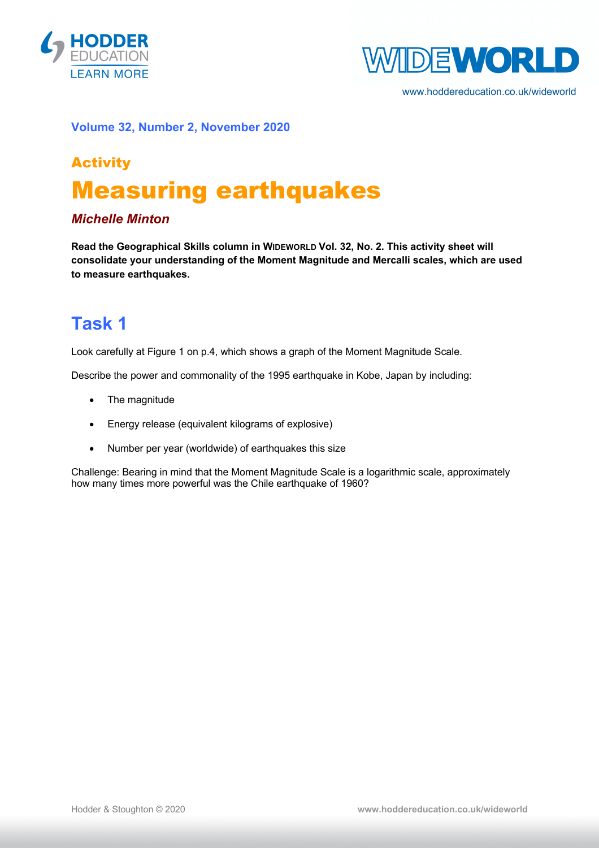



www.hoddereducation.co.uk/wideworld

#### **Volume 32, Number 2, November 2020**

# Activity Measuring earthquakes

### *Michelle Minton*

**Read the Geographical Skills column in WIDEWORLD Vol. 32, No. 2. This activity sheet will consolidate your understanding of the Moment Magnitude and Mercalli scales, which are used to measure earthquakes.**

### **Task 1**

Look carefully at Figure 1 on p.4, which shows a graph of the Moment Magnitude Scale.

Describe the power and commonality of the 1995 earthquake in Kobe, Japan by including:

- The magnitude
- Energy release (equivalent kilograms of explosive)
- Number per year (worldwide) of earthquakes this size

Challenge: Bearing in mind that the Moment Magnitude Scale is a logarithmic scale, approximately how many times more powerful was the Chile earthquake of 1960?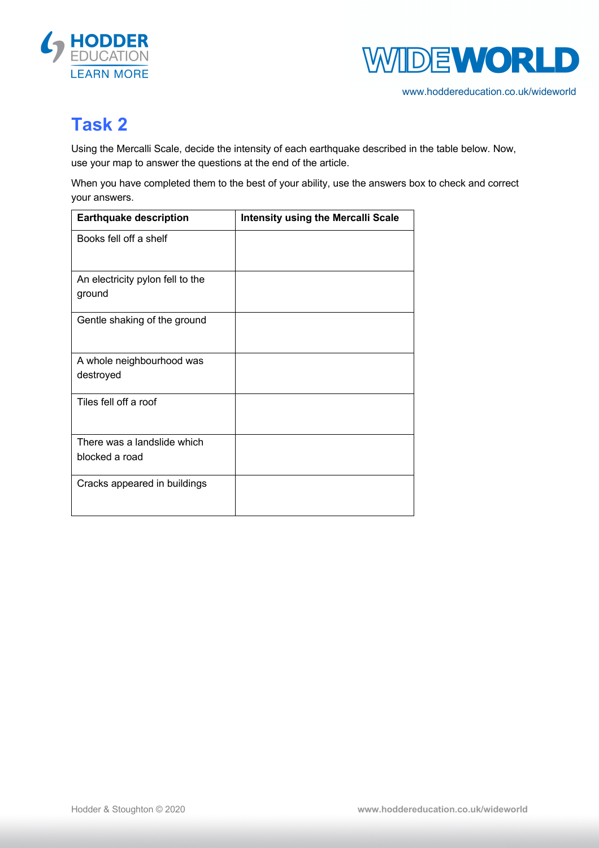



www.hoddereducation.co.uk/wideworld

## **Task 2**

Using the Mercalli Scale, decide the intensity of each earthquake described in the table below. Now, use your map to answer the questions at the end of the article.

When you have completed them to the best of your ability, use the answers box to check and correct your answers.

| <b>Earthquake description</b>                 | <b>Intensity using the Mercalli Scale</b> |
|-----------------------------------------------|-------------------------------------------|
| Books fell off a shelf                        |                                           |
| An electricity pylon fell to the<br>ground    |                                           |
| Gentle shaking of the ground                  |                                           |
| A whole neighbourhood was<br>destroyed        |                                           |
| Tiles fell off a roof                         |                                           |
| There was a landslide which<br>blocked a road |                                           |
| Cracks appeared in buildings                  |                                           |